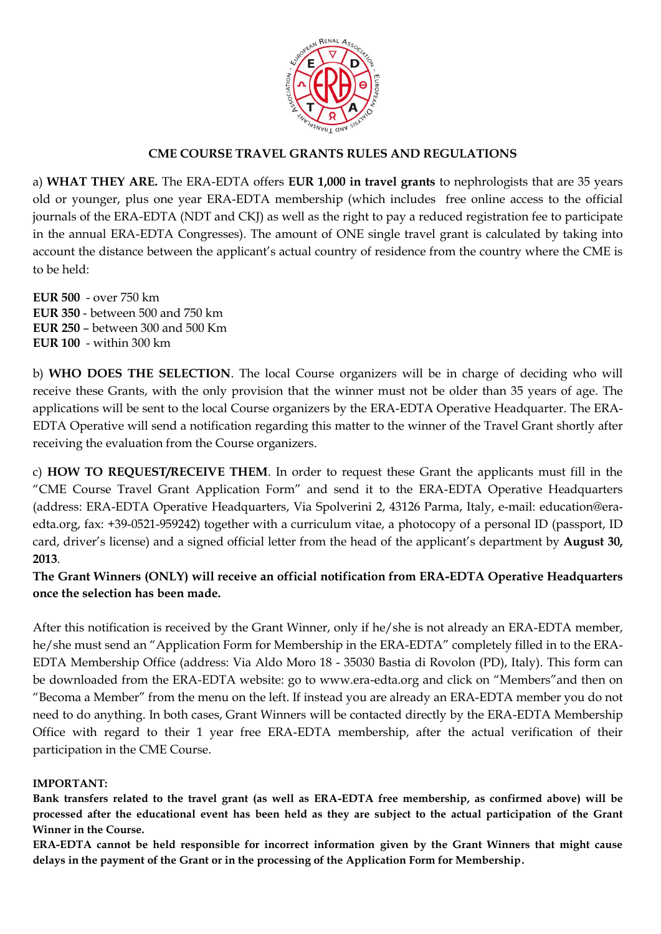

## **CME COURSE TRAVEL GRANTS RULES AND REGULATIONS**

a) **WHAT THEY ARE.** The ERA-EDTA offers **EUR 1,000 in travel grants** to nephrologists that are 35 years old or younger, plus one year ERA-EDTA membership (which includes free online access to the official journals of the ERA-EDTA (NDT and CKJ) as well as the right to pay a reduced registration fee to participate in the annual ERA-EDTA Congresses). The amount of ONE single travel grant is calculated by taking into account the distance between the applicant's actual country of residence from the country where the CME is to be held:

**EUR 500** - over 750 km **EUR 350** - between 500 and 750 km **EUR 250** – between 300 and 500 Km **EUR 100** - within 300 km

b) **WHO DOES THE SELECTION**. The local Course organizers will be in charge of deciding who will receive these Grants, with the only provision that the winner must not be older than 35 years of age. The applications will be sent to the local Course organizers by the ERA-EDTA Operative Headquarter. The ERA-EDTA Operative will send a notification regarding this matter to the winner of the Travel Grant shortly after receiving the evaluation from the Course organizers.

c) **HOW TO REQUEST/RECEIVE THEM**. In order to request these Grant the applicants must fill in the "CME Course Travel Grant Application Form" and send it to the ERA-EDTA Operative Headquarters (address: ERA-EDTA Operative Headquarters, Via Spolverini 2, 43126 Parma, Italy, e-mail: education@eraedta.org, fax: +39-0521-959242) together with a curriculum vitae, a photocopy of a personal ID (passport, ID card, driver's license) and a signed official letter from the head of the applicant's department by **August 30, 2013**.

**The Grant Winners (ONLY) will receive an official notification from ERA-EDTA Operative Headquarters once the selection has been made.** 

After this notification is received by the Grant Winner, only if he/she is not already an ERA-EDTA member, he/she must send an "Application Form for Membership in the ERA-EDTA" completely filled in to the ERA-EDTA Membership Office (address: Via Aldo Moro 18 - 35030 Bastia di Rovolon (PD), Italy). This form can be downloaded from the ERA-EDTA website: go to www.era-edta.org and click on "Members"and then on "Becoma a Member" from the menu on the left. If instead you are already an ERA-EDTA member you do not need to do anything. In both cases, Grant Winners will be contacted directly by the ERA-EDTA Membership Office with regard to their 1 year free ERA-EDTA membership, after the actual verification of their participation in the CME Course.

#### **IMPORTANT:**

**Bank transfers related to the travel grant (as well as ERA-EDTA free membership, as confirmed above) will be processed after the educational event has been held as they are subject to the actual participation of the Grant Winner in the Course.**

**ERA-EDTA cannot be held responsible for incorrect information given by the Grant Winners that might cause delays in the payment of the Grant or in the processing of the Application Form for Membership.**